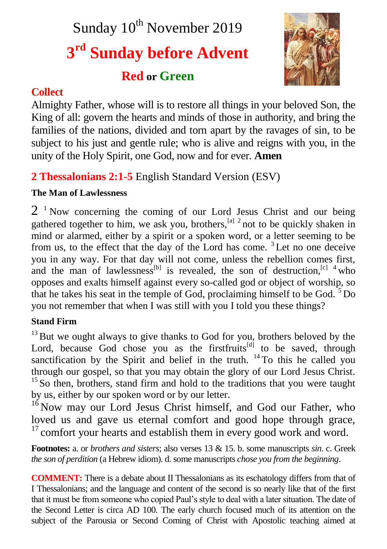Sunday 10<sup>th</sup> November 2019

# **3 rd Sunday before Advent**

# **Red or Green**



# **Collect**

Almighty Father, whose will is to restore all things in your beloved Son, the King of all: govern the hearts and minds of those in authority, and bring the families of the nations, divided and torn apart by the ravages of sin, to be subject to his just and gentle rule; who is alive and reigns with you, in the unity of the Holy Spirit, one God, now and for ever. **Amen**

# **2 Thessalonians 2:1-5** English Standard Version (ESV)

# **The Man of Lawlessness**

2<sup>1</sup> Now concerning the coming of our Lord Jesus Christ and our being gathered together to him, we ask you, brothers,  $\frac{[a]^{2}}{2}$  not to be quickly shaken in mind or alarmed, either by a spirit or a spoken word, or a letter seeming to be from us, to the effect that the day of the Lord has come.  ${}^{3}$  Let no one deceive you in any way. For that day will not come, unless the rebellion comes first, and the man of lawlessness<sup>[b]</sup> is revealed, the son of destruction,  $\begin{bmatrix} c & 4 \\ 4 & 4 \end{bmatrix}$  who opposes and exalts himself against every so-called god or object of worship, so that he takes his seat in the temple of God, proclaiming himself to be  $God.^5Do$ you not remember that when I was still with you I told you these things?

# **Stand Firm**

 $13$  But we ought always to give thanks to God for you, brothers beloved by the Lord, because God chose you as the first fruits<sup>[d]</sup> to be saved, through sanctification by the Spirit and belief in the truth.  $14$  To this he called you through our gospel, so that you may obtain the glory of our Lord Jesus Christ.  $15$  So then, brothers, stand firm and hold to the traditions that you were taught by us, either by our spoken word or by our letter.

<sup>16</sup> Now may our Lord Jesus Christ himself, and God our Father, who loved us and gave us eternal comfort and good hope through grace,  $17$  comfort your hearts and establish them in every good work and word.

**Footnotes:** a. or *brothers and sisters*; also verses 13 & 15. b. some manuscripts *sin*. c. Greek *the son of perdition* (a Hebrew idiom). d. some manuscripts *chose you from the beginning*.

**COMMENT:** There is a debate about II Thessalonians as its eschatology differs from that of I Thessalonians; and the language and content of the second is so nearly like that of the first that it must be from someone who copied Paul's style to deal with a later situation. The date of the Second Letter is circa AD 100. The early church focused much of its attention on the subject of the Parousia or Second Coming of Christ with Apostolic teaching aimed at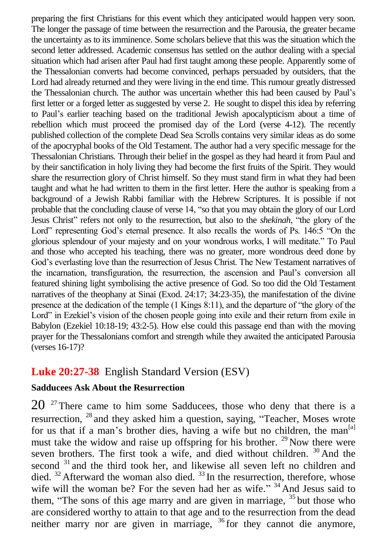preparing the first Christians for this event which they anticipated would happen very soon. The longer the passage of time between the resurrection and the Parousia, the greater became the uncertainty as to its imminence. Some scholars believe that this was the situation which the second letter addressed. Academic consensus has settled on the author dealing with a special situation which had arisen after Paul had first taught among these people. Apparently some of the Thessalonian converts had become convinced, perhaps persuaded by outsiders, that the Lord had already returned and they were living in the end time. This rumour greatly distressed the Thessalonian church. The author was uncertain whether this had been caused by Paul's first letter or a forged letter as suggested by verse 2. He sought to dispel this idea by referring to Paul's earlier teaching based on the traditional Jewish apocalypticism about a time of rebellion which must proceed the promised day of the Lord (verse 4-12). The recently published collection of the complete Dead Sea Scrolls contains very similar ideas as do some of the apocryphal books of the Old Testament. The author had a very specific message for the Thessalonian Christians. Through their belief in the gospel as they had heard it from Paul and by their sanctification in holy living they had become the first fruits of the Spirit. They would share the resurrection glory of Christ himself. So they must stand firm in what they had been taught and what he had written to them in the first letter. Here the author is speaking from a background of a Jewish Rabbi familiar with the Hebrew Scriptures. It is possible if not probable that the concluding clause of verse 14, "so that you may obtain the glory of our Lord Jesus Christ" refers not only to the resurrection, but also to the *shekinah*, "the glory of the Lord" representing God's eternal presence. It also recalls the words of Ps. 146:5 "On the glorious splendour of your majesty and on your wondrous works, I will meditate." To Paul and those who accepted his teaching, there was no greater, more wondrous deed done by God's everlasting love than the resurrection of Jesus Christ. The New Testament narratives of the incarnation, transfiguration, the resurrection, the ascension and Paul's conversion all featured shining light symbolising the active presence of God. So too did the Old Testament narratives of the theophany at Sinai (Exod. 24:17; 34:23-35), the manifestation of the divine presence at the dedication of the temple (1 Kings 8:11), and the departure of "the glory of the Lord" in Ezekiel's vision of the chosen people going into exile and their return from exile in Babylon (Ezekiel 10:18-19; 43:2-5). How else could this passage end than with the moving prayer for the Thessalonians comfort and strength while they awaited the anticipated Parousia (verses 16-17)?

### **Luke 20:27-38** English Standard Version (ESV)

#### **Sadducees Ask About the Resurrection**

 $20<sup>27</sup>$  There came to him some Sadducees, those who deny that there is a resurrection, <sup>28</sup> and they asked him a question, saying, "Teacher, Moses wrote for us that if a man's brother dies, having a wife but no children, the man<sup>[a]</sup> must take the widow and raise up offspring for his brother.  $^{29}$  Now there were seven brothers. The first took a wife, and died without children. <sup>30</sup> And the second <sup>31</sup> and the third took her, and likewise all seven left no children and died.  $32$  Afterward the woman also died.  $33$  In the resurrection, therefore, whose wife will the woman be? For the seven had her as wife." <sup>34</sup> And Jesus said to them, "The sons of this age marry and are given in marriage,  $35$  but those who are considered worthy to attain to that age and to the resurrection from the dead neither marry nor are given in marriage,  $36$  for they cannot die anymore,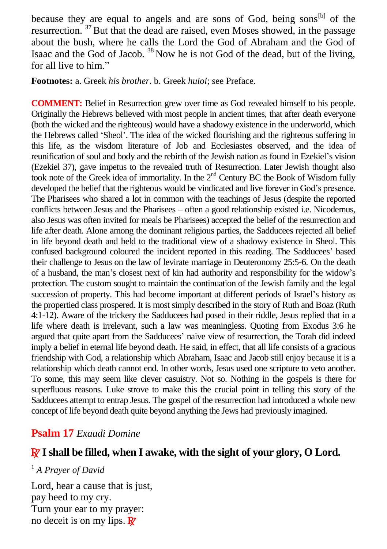because they are equal to angels and are sons of God, being sons<sup>[b]</sup> of the resurrection. <sup>37</sup> But that the dead are raised, even Moses showed, in the passage about the bush, where he calls the Lord the God of Abraham and the God of Isaac and the God of Jacob.  $38$  Now he is not God of the dead, but of the living, for all live to him."

**Footnotes:** a. Greek *his brother*. b. Greek *huioi*; see Preface.

**COMMENT:** Belief in Resurrection grew over time as God revealed himself to his people. Originally the Hebrews believed with most people in ancient times, that after death everyone (both the wicked and the righteous) would have a shadowy existence in the underworld, which the Hebrews called 'Sheol'. The idea of the wicked flourishing and the righteous suffering in this life, as the wisdom literature of Job and Ecclesiastes observed, and the idea of reunification of soul and body and the rebirth of the Jewish nation as found in Ezekiel's vision (Ezekiel 37), gave impetus to the revealed truth of Resurrection. Later Jewish thought also took note of the Greek idea of immortality. In the  $2<sup>nd</sup>$  Century BC the Book of Wisdom fully developed the belief that the righteous would be vindicated and live forever in God's presence. The Pharisees who shared a lot in common with the teachings of Jesus (despite the reported conflicts between Jesus and the Pharisees – often a good relationship existed i.e. Nicodemus, also Jesus was often invited for meals be Pharisees) accepted the belief of the resurrection and life after death. Alone among the dominant religious parties, the Sadducees rejected all belief in life beyond death and held to the traditional view of a shadowy existence in Sheol. This confused background coloured the incident reported in this reading. The Sadducees' based their challenge to Jesus on the law of levirate marriage in Deuteronomy 25:5-6. On the death of a husband, the man's closest next of kin had authority and responsibility for the widow's protection. The custom sought to maintain the continuation of the Jewish family and the legal succession of property. This had become important at different periods of Israel's history as the propertied class prospered. It is most simply described in the story of Ruth and Boaz (Ruth 4:1-12). Aware of the trickery the Sadducees had posed in their riddle, Jesus replied that in a life where death is irrelevant, such a law was meaningless. Quoting from Exodus 3:6 he argued that quite apart from the Sadducees' naive view of resurrection, the Torah did indeed imply a belief in eternal life beyond death. He said, in effect, that all life consists of a gracious friendship with God, a relationship which Abraham, Isaac and Jacob still enjoy because it is a relationship which death cannot end. In other words, Jesus used one scripture to veto another. To some, this may seem like clever casuistry. Not so. Nothing in the gospels is there for superfluous reasons. Luke strove to make this the crucial point in telling this story of the Sadducees attempt to entrap Jesus. The gospel of the resurrection had introduced a whole new concept of life beyond death quite beyond anything the Jews had previously imagined.

# **Psalm 17** *Exaudi Domine*

# R **I shall be filled, when I awake, with the sight of your glory, O Lord.**

### <sup>1</sup> *A Prayer of David*

Lord, hear a cause that is just, pay heed to my cry. Turn your ear to my prayer: no deceit is on my lips.  $\mathbb{R}^7$